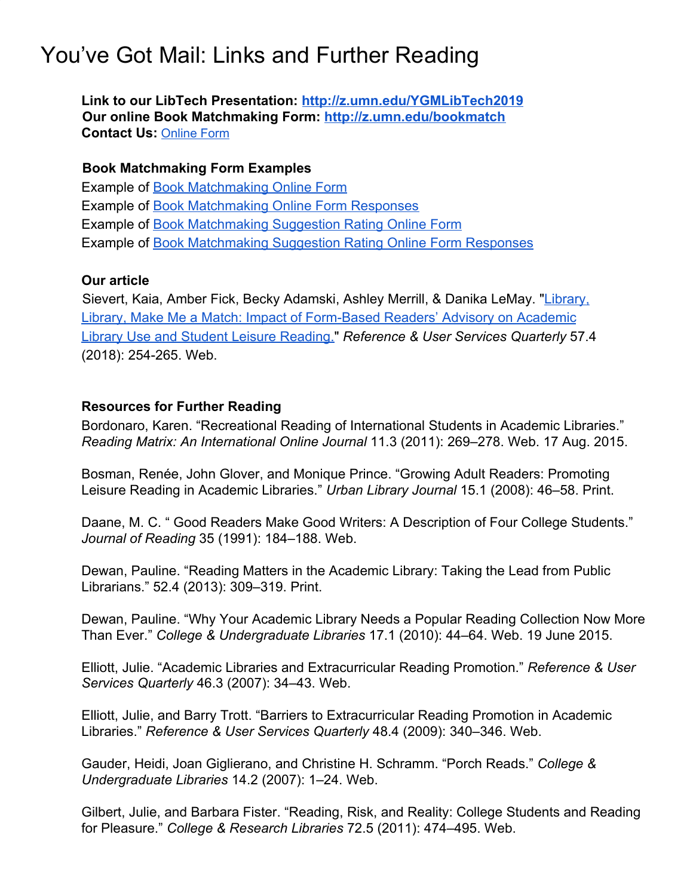## You've Got Mail: Links and Further Reading

**Link to our LibTech Presentation: [http://z.umn.edu/YGMLibTech2019](https://z.umn.edu/YGMLibTech2019) Our online Book Matchmaking Form:<http://z.umn.edu/bookmatch> Contact Us:** [Online](https://docs.google.com/forms/d/e/1FAIpQLScqpxpl7pbuK_OirjOfb9573gAD7l9fuzRelHRvdJ1gjwLDUw/viewform) Form

## **Book Matchmaking Form Examples**

Example of [Book Matchmaking Online Form](https://docs.google.com/forms/d/e/1FAIpQLSeKfDb5Lt9SWuo1kZpWcLUfgOjxD1W4_r80MeFENewUP-wYRg/viewform) Example of [Book Matchmaking Online Form Responses](https://docs.google.com/spreadsheets/d/1iY-QpheR4VAUI1h4MKIQqA0_9X83vLa1KFzZ6A12L1I/edit?usp=sharing) Example of [Book Matchmaking Suggestion Rating Online Form](https://docs.google.com/forms/d/e/1FAIpQLSeJ1PNn81TZRLT1vPHJ7IFLLDSo_0aggx4gjFLertRGG5_AiA/viewform) Example of [Book Matchmaking Suggestion Rating Online Form Responses](https://docs.google.com/spreadsheets/d/1IJrwtd2mgJQElWcLPH7RD_8A3xkfJMIaqpF-3xoD3_s/edit?usp=sharing)

## **Our article**

 Sievert, Kaia, Amber Fick, Becky Adamski, Ashley Merrill, & Danika LeMay. "[Library,](https://journals.ala.org/index.php/rusq/article/view/6703/9004) [Library, Make Me a Match: Impact of Form-Based Readers' Advisory on Academic](https://journals.ala.org/index.php/rusq/article/view/6703/9004) [Library Use and Student Leisure Reading."](https://journals.ala.org/index.php/rusq/article/view/6703/9004) *Reference & User Services Quarterly* 57.4 (2018): 254-265. Web.

## **Resources for Further Reading**

Bordonaro, Karen. "Recreational Reading of International Students in Academic Libraries." *Reading Matrix: An International Online Journal* 11.3 (2011): 269–278. Web. 17 Aug. 2015.

Bosman, Renée, John Glover, and Monique Prince. "Growing Adult Readers: Promoting Leisure Reading in Academic Libraries." *Urban Library Journal* 15.1 (2008): 46–58. Print.

Daane, M. C. " Good Readers Make Good Writers: A Description of Four College Students." *Journal of Reading* 35 (1991): 184–188. Web.

Dewan, Pauline. "Reading Matters in the Academic Library: Taking the Lead from Public Librarians." 52.4 (2013): 309–319. Print.

Dewan, Pauline. "Why Your Academic Library Needs a Popular Reading Collection Now More Than Ever." *College & Undergraduate Libraries* 17.1 (2010): 44–64. Web. 19 June 2015.

Elliott, Julie. "Academic Libraries and Extracurricular Reading Promotion." *Reference & User Services Quarterly* 46.3 (2007): 34–43. Web.

Elliott, Julie, and Barry Trott. "Barriers to Extracurricular Reading Promotion in Academic Libraries." *Reference & User Services Quarterly* 48.4 (2009): 340–346. Web.

Gauder, Heidi, Joan Giglierano, and Christine H. Schramm. "Porch Reads." *College & Undergraduate Libraries* 14.2 (2007): 1–24. Web.

Gilbert, Julie, and Barbara Fister. "Reading, Risk, and Reality: College Students and Reading for Pleasure." *College & Research Libraries* 72.5 (2011): 474–495. Web.